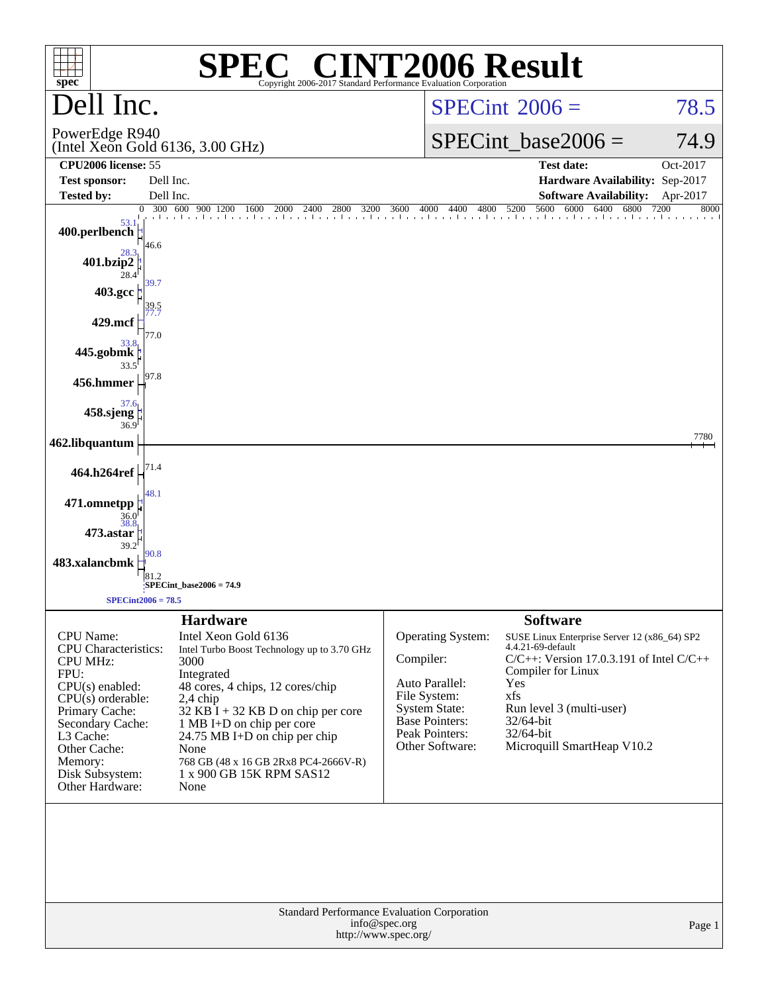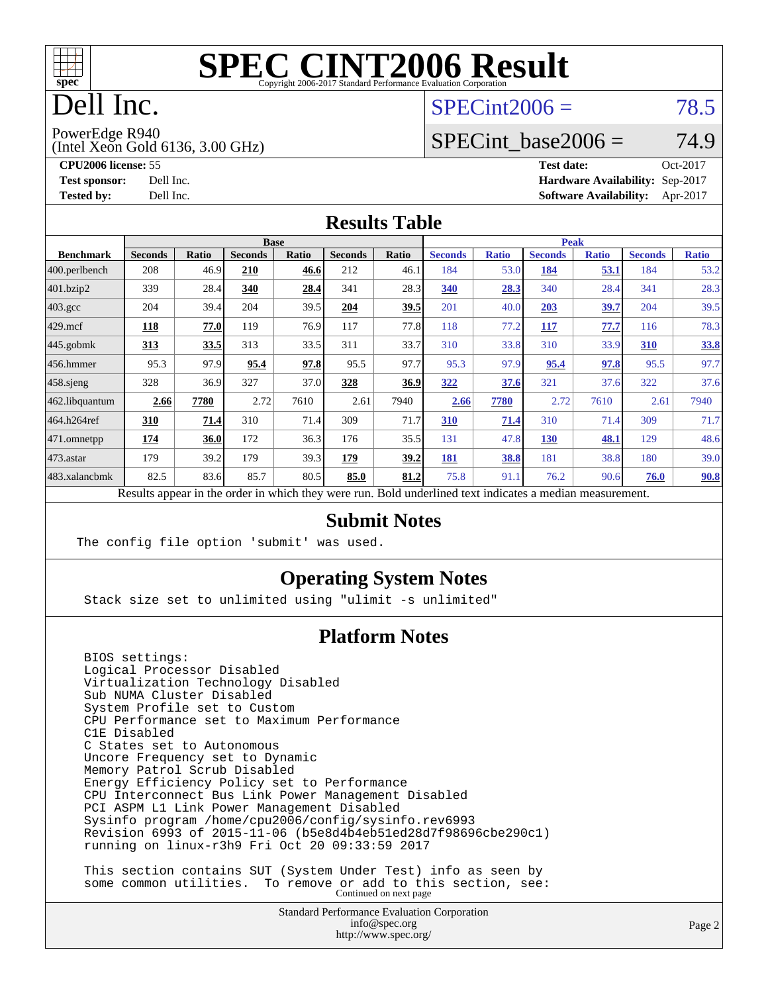

# Dell Inc.

## $SPECint2006 = 78.5$  $SPECint2006 = 78.5$

PowerEdge R940

(Intel Xeon Gold 6136, 3.00 GHz)

SPECint base2006 =  $74.9$ 

**[CPU2006 license:](http://www.spec.org/auto/cpu2006/Docs/result-fields.html#CPU2006license)** 55 **[Test date:](http://www.spec.org/auto/cpu2006/Docs/result-fields.html#Testdate)** Oct-2017 **[Test sponsor:](http://www.spec.org/auto/cpu2006/Docs/result-fields.html#Testsponsor)** Dell Inc. **[Hardware Availability:](http://www.spec.org/auto/cpu2006/Docs/result-fields.html#HardwareAvailability)** Sep-2017 **[Tested by:](http://www.spec.org/auto/cpu2006/Docs/result-fields.html#Testedby)** Dell Inc. **[Software Availability:](http://www.spec.org/auto/cpu2006/Docs/result-fields.html#SoftwareAvailability)** Apr-2017

### **[Results Table](http://www.spec.org/auto/cpu2006/Docs/result-fields.html#ResultsTable)**

|                                                                                                                                                                                                                                                                                                                                              | <b>Base</b>    |       |                |       |                |             |                | <b>Peak</b>  |                |              |                |              |  |
|----------------------------------------------------------------------------------------------------------------------------------------------------------------------------------------------------------------------------------------------------------------------------------------------------------------------------------------------|----------------|-------|----------------|-------|----------------|-------------|----------------|--------------|----------------|--------------|----------------|--------------|--|
| <b>Benchmark</b>                                                                                                                                                                                                                                                                                                                             | <b>Seconds</b> | Ratio | <b>Seconds</b> | Ratio | <b>Seconds</b> | Ratio       | <b>Seconds</b> | <b>Ratio</b> | <b>Seconds</b> | <b>Ratio</b> | <b>Seconds</b> | <b>Ratio</b> |  |
| 400.perlbench                                                                                                                                                                                                                                                                                                                                | 208            | 46.9  | 210            | 46.6  | 212            | 46.1        | 184            | 53.0         | 184            | 53.1         | 184            | 53.2         |  |
| 401.bzip2                                                                                                                                                                                                                                                                                                                                    | 339            | 28.4  | 340            | 28.4  | 341            | 28.3        | 340            | 28.3         | 340            | 28.4         | 341            | 28.3         |  |
| $403.\mathrm{gcc}$                                                                                                                                                                                                                                                                                                                           | 204            | 39.4  | 204            | 39.5  | 204            | <u>39.5</u> | 201            | 40.0         | 203            | <u>39.7</u>  | 204            | 39.5         |  |
| $429$ .mcf                                                                                                                                                                                                                                                                                                                                   | 118            | 77.0  | 119            | 76.9  | 117            | 77.8        | 118            | 77.2         | 117            | 77.7         | 116            | 78.3         |  |
| $445$ .gobmk                                                                                                                                                                                                                                                                                                                                 | 313            | 33.5  | 313            | 33.5  | 311            | 33.7        | 310            | 33.8         | 310            | 33.9         | 310            | 33.8         |  |
| 456.hmmer                                                                                                                                                                                                                                                                                                                                    | 95.3           | 97.9  | 95.4           | 97.8  | 95.5           | 97.7        | 95.3           | 97.9         | 95.4           | 97.8         | 95.5           | 97.7         |  |
| $458$ .sjeng                                                                                                                                                                                                                                                                                                                                 | 328            | 36.9  | 327            | 37.0  | 328            | 36.9        | 322            | 37.6         | 321            | 37.6         | 322            | 37.6         |  |
| 462.libquantum                                                                                                                                                                                                                                                                                                                               | 2.66           | 7780  | 2.72           | 7610  | 2.61           | 7940        | 2.66           | 7780         | 2.72           | 7610         | 2.61           | 7940         |  |
| 464.h264ref                                                                                                                                                                                                                                                                                                                                  | 310            | 71.4  | 310            | 71.4  | 309            | 71.7        | 310            | 71.4         | 310            | 71.4         | 309            | 71.7         |  |
| 471.omnetpp                                                                                                                                                                                                                                                                                                                                  | 174            | 36.0  | 172            | 36.3  | 176            | 35.5        | 131            | 47.8         | 130            | 48.1         | 129            | 48.6         |  |
| $473$ . astar                                                                                                                                                                                                                                                                                                                                | 179            | 39.2  | 179            | 39.3  | 179            | 39.2        | 181            | 38.8         | 181            | 38.8         | 180            | 39.0         |  |
| 483.xalancbmk                                                                                                                                                                                                                                                                                                                                | 82.5           | 83.6  | 85.7           | 80.5  | 85.0           | 81.2        | 75.8           | 91.1         | 76.2           | 90.6         | 76.0           | 90.8         |  |
| the alleged and the two contributions of the contributions of the contribution of the contribution of the contribution of the contribution of the contribution of the contribution of the contribution of the contribution of<br>$\mathbf{D}$ . $\mathbf{1}$<br>and a final formula and a final formula of the<br>$\mathbf{D}$ $\mathbf{11}$ |                |       |                |       |                |             |                |              |                |              |                |              |  |

Results appear in the [order in which they were run.](http://www.spec.org/auto/cpu2006/Docs/result-fields.html#RunOrder) Bold underlined text [indicates a median measurement.](http://www.spec.org/auto/cpu2006/Docs/result-fields.html#Median)

### **[Submit Notes](http://www.spec.org/auto/cpu2006/Docs/result-fields.html#SubmitNotes)**

The config file option 'submit' was used.

### **[Operating System Notes](http://www.spec.org/auto/cpu2006/Docs/result-fields.html#OperatingSystemNotes)**

Stack size set to unlimited using "ulimit -s unlimited"

### **[Platform Notes](http://www.spec.org/auto/cpu2006/Docs/result-fields.html#PlatformNotes)**

 BIOS settings: Logical Processor Disabled Virtualization Technology Disabled Sub NUMA Cluster Disabled System Profile set to Custom CPU Performance set to Maximum Performance C1E Disabled C States set to Autonomous Uncore Frequency set to Dynamic Memory Patrol Scrub Disabled Energy Efficiency Policy set to Performance CPU Interconnect Bus Link Power Management Disabled PCI ASPM L1 Link Power Management Disabled Sysinfo program /home/cpu2006/config/sysinfo.rev6993 Revision 6993 of 2015-11-06 (b5e8d4b4eb51ed28d7f98696cbe290c1) running on linux-r3h9 Fri Oct 20 09:33:59 2017

 This section contains SUT (System Under Test) info as seen by some common utilities. To remove or add to this section, see:<br>Continued on next page

> Standard Performance Evaluation Corporation [info@spec.org](mailto:info@spec.org) <http://www.spec.org/>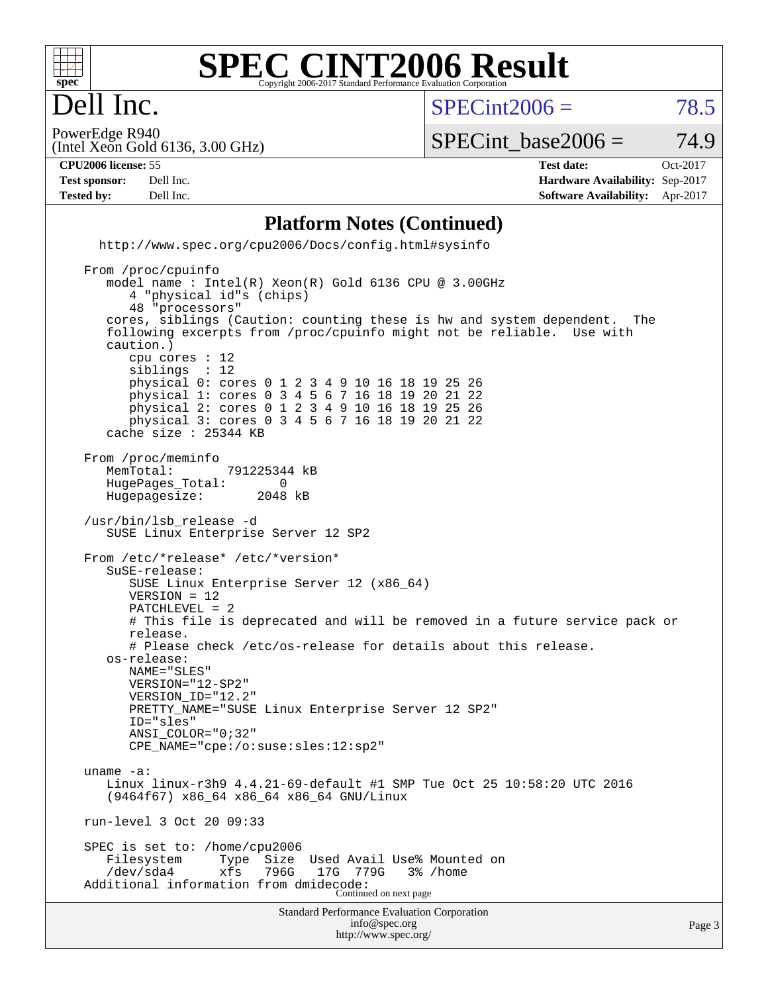

### **[SPEC CINT2006 Result](http://www.spec.org/auto/cpu2006/Docs/result-fields.html#SPECCINT2006Result)** Copyright 2006-2017 Standard Performance Evaluation Corporation

 $SPECint2006 = 78.5$  $SPECint2006 = 78.5$ 

Page 3

(Intel Xeon Gold 6136, 3.00 GHz) PowerEdge R940

SPECint base2006 =  $74.9$ 

Dell Inc.

**[CPU2006 license:](http://www.spec.org/auto/cpu2006/Docs/result-fields.html#CPU2006license)** 55 **[Test date:](http://www.spec.org/auto/cpu2006/Docs/result-fields.html#Testdate)** Oct-2017 **[Test sponsor:](http://www.spec.org/auto/cpu2006/Docs/result-fields.html#Testsponsor)** Dell Inc. **[Hardware Availability:](http://www.spec.org/auto/cpu2006/Docs/result-fields.html#HardwareAvailability)** Sep-2017 **[Tested by:](http://www.spec.org/auto/cpu2006/Docs/result-fields.html#Testedby)** Dell Inc. **[Software Availability:](http://www.spec.org/auto/cpu2006/Docs/result-fields.html#SoftwareAvailability)** Apr-2017

### **[Platform Notes \(Continued\)](http://www.spec.org/auto/cpu2006/Docs/result-fields.html#PlatformNotes)**

 <http://www.spec.org/cpu2006/Docs/config.html#sysinfo> From /proc/cpuinfo model name : Intel(R) Xeon(R) Gold 6136 CPU @ 3.00GHz 4 "physical id"s (chips) 48 "processors" cores, siblings (Caution: counting these is hw and system dependent. The following excerpts from /proc/cpuinfo might not be reliable. Use with caution.) cpu cores : 12<br>siblings : 12 siblings physical 0: cores 0 1 2 3 4 9 10 16 18 19 25 26 physical 1: cores 0 3 4 5 6 7 16 18 19 20 21 22 physical 2: cores 0 1 2 3 4 9 10 16 18 19 25 26 physical 3: cores 0 3 4 5 6 7 16 18 19 20 21 22 cache size : 25344 KB From /proc/meminfo MemTotal: 791225344 kB<br>HugePages Total: 0 HugePages\_Total: 0<br>Hugepagesize: 2048 kB Hugepagesize: /usr/bin/lsb\_release -d SUSE Linux Enterprise Server 12 SP2 From /etc/\*release\* /etc/\*version\* SuSE-release:

Standard Performance Evaluation Corporation [info@spec.org](mailto:info@spec.org) SUSE Linux Enterprise Server 12 (x86\_64) VERSION = 12 PATCHLEVEL = 2 # This file is deprecated and will be removed in a future service pack or release. # Please check /etc/os-release for details about this release. os-release: NAME="SLES" VERSION="12-SP2" VERSION\_ID="12.2" PRETTY\_NAME="SUSE Linux Enterprise Server 12 SP2" ID="sles" ANSI\_COLOR="0;32" CPE\_NAME="cpe:/o:suse:sles:12:sp2" uname -a: Linux linux-r3h9 4.4.21-69-default #1 SMP Tue Oct 25 10:58:20 UTC 2016 (9464f67) x86\_64 x86\_64 x86\_64 GNU/Linux run-level 3 Oct 20 09:33 SPEC is set to: /home/cpu2006<br>Filesystem Type Size Used Avail Use% Mounted on /dev/sda4 xfs 796G 17G 779G 3% /home Additional information from dmidecode: Continued on next page

<http://www.spec.org/>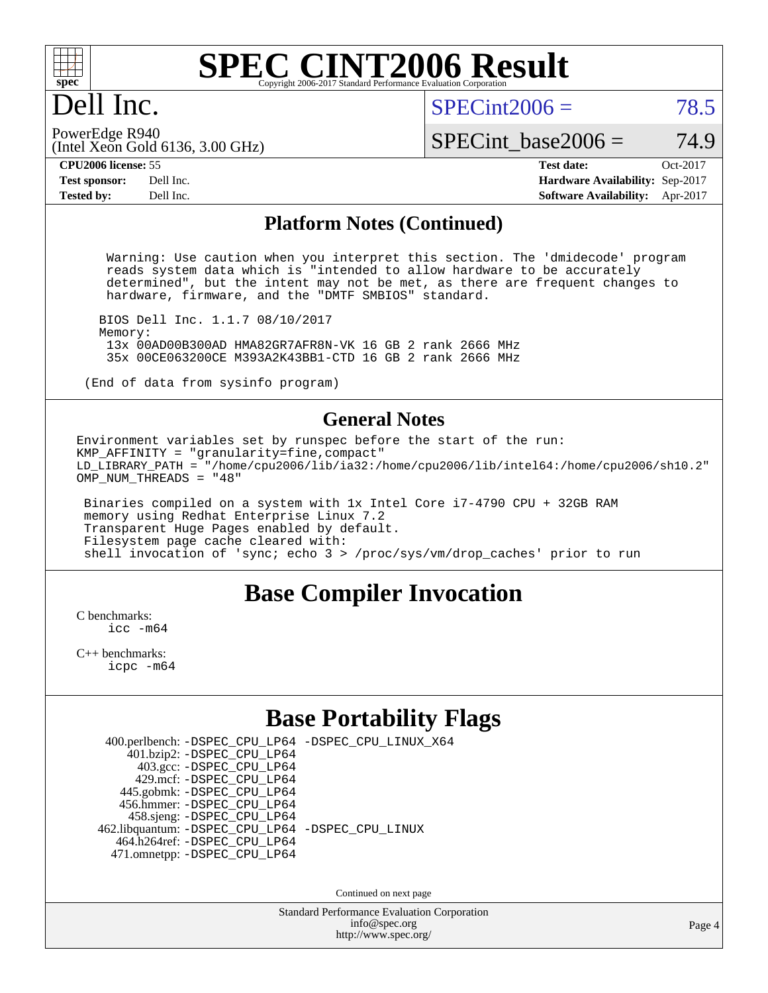

# Dell Inc.

 $SPECint2006 = 78.5$  $SPECint2006 = 78.5$ 

(Intel Xeon Gold 6136, 3.00 GHz) PowerEdge R940

SPECint base2006 =  $74.9$ 

**[CPU2006 license:](http://www.spec.org/auto/cpu2006/Docs/result-fields.html#CPU2006license)** 55 **[Test date:](http://www.spec.org/auto/cpu2006/Docs/result-fields.html#Testdate)** Oct-2017 **[Test sponsor:](http://www.spec.org/auto/cpu2006/Docs/result-fields.html#Testsponsor)** Dell Inc. **[Hardware Availability:](http://www.spec.org/auto/cpu2006/Docs/result-fields.html#HardwareAvailability)** Sep-2017 **[Tested by:](http://www.spec.org/auto/cpu2006/Docs/result-fields.html#Testedby)** Dell Inc. **[Software Availability:](http://www.spec.org/auto/cpu2006/Docs/result-fields.html#SoftwareAvailability)** Apr-2017

### **[Platform Notes \(Continued\)](http://www.spec.org/auto/cpu2006/Docs/result-fields.html#PlatformNotes)**

 Warning: Use caution when you interpret this section. The 'dmidecode' program reads system data which is "intended to allow hardware to be accurately determined", but the intent may not be met, as there are frequent changes to hardware, firmware, and the "DMTF SMBIOS" standard.

 BIOS Dell Inc. 1.1.7 08/10/2017 Memory: 13x 00AD00B300AD HMA82GR7AFR8N-VK 16 GB 2 rank 2666 MHz 35x 00CE063200CE M393A2K43BB1-CTD 16 GB 2 rank 2666 MHz

(End of data from sysinfo program)

### **[General Notes](http://www.spec.org/auto/cpu2006/Docs/result-fields.html#GeneralNotes)**

Environment variables set by runspec before the start of the run: KMP AFFINITY = "granularity=fine, compact" LD\_LIBRARY\_PATH = "/home/cpu2006/lib/ia32:/home/cpu2006/lib/intel64:/home/cpu2006/sh10.2" OMP NUM THREADS = "48"

 Binaries compiled on a system with 1x Intel Core i7-4790 CPU + 32GB RAM memory using Redhat Enterprise Linux 7.2 Transparent Huge Pages enabled by default. Filesystem page cache cleared with: shell invocation of 'sync; echo 3 > /proc/sys/vm/drop\_caches' prior to run

# **[Base Compiler Invocation](http://www.spec.org/auto/cpu2006/Docs/result-fields.html#BaseCompilerInvocation)**

[C benchmarks](http://www.spec.org/auto/cpu2006/Docs/result-fields.html#Cbenchmarks): [icc -m64](http://www.spec.org/cpu2006/results/res2017q4/cpu2006-20171114-50551.flags.html#user_CCbase_intel_icc_64bit_bda6cc9af1fdbb0edc3795bac97ada53)

[C++ benchmarks:](http://www.spec.org/auto/cpu2006/Docs/result-fields.html#CXXbenchmarks) [icpc -m64](http://www.spec.org/cpu2006/results/res2017q4/cpu2006-20171114-50551.flags.html#user_CXXbase_intel_icpc_64bit_fc66a5337ce925472a5c54ad6a0de310)

# **[Base Portability Flags](http://www.spec.org/auto/cpu2006/Docs/result-fields.html#BasePortabilityFlags)**

|  | 401.bzip2: -DSPEC_CPU_LP64<br>403.gcc: -DSPEC_CPU_LP64<br>429.mcf: -DSPEC CPU LP64<br>445.gobmk: -DSPEC_CPU_LP64<br>456.hmmer: - DSPEC CPU LP64<br>458.sjeng: -DSPEC_CPU_LP64<br>464.h264ref: -DSPEC_CPU_LP64<br>471.omnetpp: -DSPEC_CPU_LP64 | 400.perlbench: -DSPEC_CPU_LP64 -DSPEC_CPU_LINUX_X64<br>462.libquantum: - DSPEC_CPU_LP64 - DSPEC_CPU_LINUX |
|--|-----------------------------------------------------------------------------------------------------------------------------------------------------------------------------------------------------------------------------------------------|-----------------------------------------------------------------------------------------------------------|

Continued on next page

Standard Performance Evaluation Corporation [info@spec.org](mailto:info@spec.org) <http://www.spec.org/>

Page 4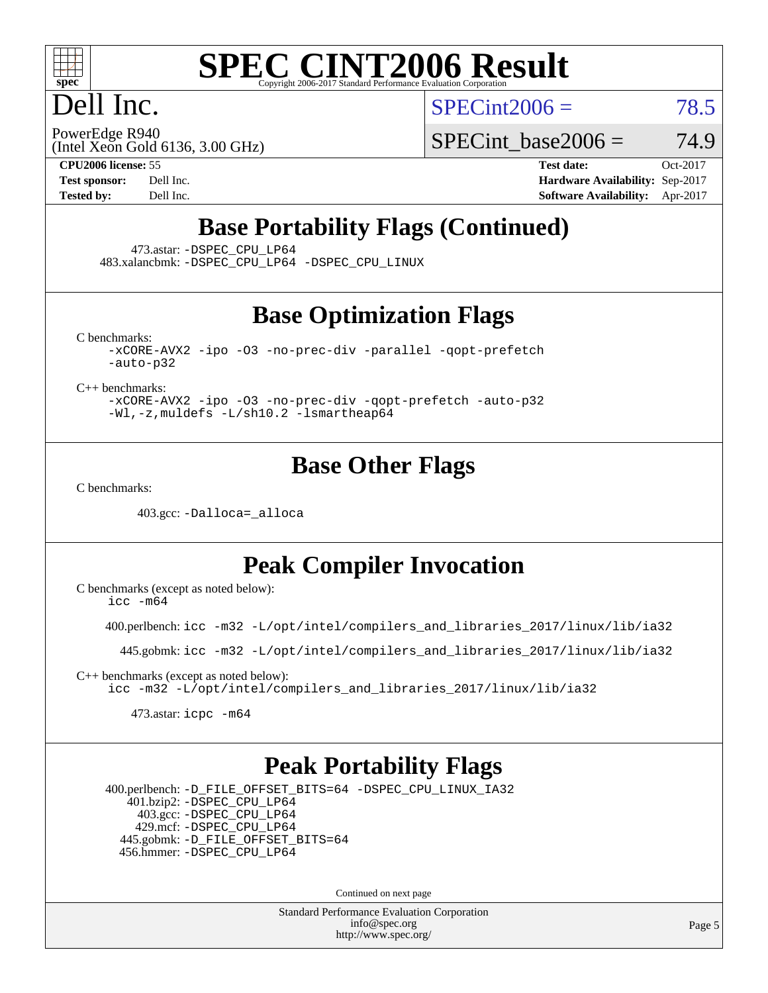

# Dell Inc.

 $SPECint2006 = 78.5$  $SPECint2006 = 78.5$ 

(Intel Xeon Gold 6136, 3.00 GHz) PowerEdge R940

SPECint base2006 =  $74.9$ 

**[CPU2006 license:](http://www.spec.org/auto/cpu2006/Docs/result-fields.html#CPU2006license)** 55 **[Test date:](http://www.spec.org/auto/cpu2006/Docs/result-fields.html#Testdate)** Oct-2017 **[Test sponsor:](http://www.spec.org/auto/cpu2006/Docs/result-fields.html#Testsponsor)** Dell Inc. **[Hardware Availability:](http://www.spec.org/auto/cpu2006/Docs/result-fields.html#HardwareAvailability)** Sep-2017 **[Tested by:](http://www.spec.org/auto/cpu2006/Docs/result-fields.html#Testedby)** Dell Inc. **[Software Availability:](http://www.spec.org/auto/cpu2006/Docs/result-fields.html#SoftwareAvailability)** Apr-2017

# **[Base Portability Flags \(Continued\)](http://www.spec.org/auto/cpu2006/Docs/result-fields.html#BasePortabilityFlags)**

473.astar: [-DSPEC\\_CPU\\_LP64](http://www.spec.org/cpu2006/results/res2017q4/cpu2006-20171114-50551.flags.html#suite_basePORTABILITY473_astar_DSPEC_CPU_LP64)

483.xalancbmk: [-DSPEC\\_CPU\\_LP64](http://www.spec.org/cpu2006/results/res2017q4/cpu2006-20171114-50551.flags.html#suite_basePORTABILITY483_xalancbmk_DSPEC_CPU_LP64) [-DSPEC\\_CPU\\_LINUX](http://www.spec.org/cpu2006/results/res2017q4/cpu2006-20171114-50551.flags.html#b483.xalancbmk_baseCXXPORTABILITY_DSPEC_CPU_LINUX)

## **[Base Optimization Flags](http://www.spec.org/auto/cpu2006/Docs/result-fields.html#BaseOptimizationFlags)**

[C benchmarks](http://www.spec.org/auto/cpu2006/Docs/result-fields.html#Cbenchmarks):

[-xCORE-AVX2](http://www.spec.org/cpu2006/results/res2017q4/cpu2006-20171114-50551.flags.html#user_CCbase_f-xCORE-AVX2) [-ipo](http://www.spec.org/cpu2006/results/res2017q4/cpu2006-20171114-50551.flags.html#user_CCbase_f-ipo) [-O3](http://www.spec.org/cpu2006/results/res2017q4/cpu2006-20171114-50551.flags.html#user_CCbase_f-O3) [-no-prec-div](http://www.spec.org/cpu2006/results/res2017q4/cpu2006-20171114-50551.flags.html#user_CCbase_f-no-prec-div) [-parallel](http://www.spec.org/cpu2006/results/res2017q4/cpu2006-20171114-50551.flags.html#user_CCbase_f-parallel) [-qopt-prefetch](http://www.spec.org/cpu2006/results/res2017q4/cpu2006-20171114-50551.flags.html#user_CCbase_f-qopt-prefetch) [-auto-p32](http://www.spec.org/cpu2006/results/res2017q4/cpu2006-20171114-50551.flags.html#user_CCbase_f-auto-p32)

[C++ benchmarks:](http://www.spec.org/auto/cpu2006/Docs/result-fields.html#CXXbenchmarks)

[-xCORE-AVX2](http://www.spec.org/cpu2006/results/res2017q4/cpu2006-20171114-50551.flags.html#user_CXXbase_f-xCORE-AVX2) [-ipo](http://www.spec.org/cpu2006/results/res2017q4/cpu2006-20171114-50551.flags.html#user_CXXbase_f-ipo) [-O3](http://www.spec.org/cpu2006/results/res2017q4/cpu2006-20171114-50551.flags.html#user_CXXbase_f-O3) [-no-prec-div](http://www.spec.org/cpu2006/results/res2017q4/cpu2006-20171114-50551.flags.html#user_CXXbase_f-no-prec-div) [-qopt-prefetch](http://www.spec.org/cpu2006/results/res2017q4/cpu2006-20171114-50551.flags.html#user_CXXbase_f-qopt-prefetch) [-auto-p32](http://www.spec.org/cpu2006/results/res2017q4/cpu2006-20171114-50551.flags.html#user_CXXbase_f-auto-p32) [-Wl,-z,muldefs](http://www.spec.org/cpu2006/results/res2017q4/cpu2006-20171114-50551.flags.html#user_CXXbase_link_force_multiple1_74079c344b956b9658436fd1b6dd3a8a) [-L/sh10.2 -lsmartheap64](http://www.spec.org/cpu2006/results/res2017q4/cpu2006-20171114-50551.flags.html#user_CXXbase_SmartHeap64_63911d860fc08c15fa1d5bf319b9d8d5)

# **[Base Other Flags](http://www.spec.org/auto/cpu2006/Docs/result-fields.html#BaseOtherFlags)**

[C benchmarks](http://www.spec.org/auto/cpu2006/Docs/result-fields.html#Cbenchmarks):

403.gcc: [-Dalloca=\\_alloca](http://www.spec.org/cpu2006/results/res2017q4/cpu2006-20171114-50551.flags.html#b403.gcc_baseEXTRA_CFLAGS_Dalloca_be3056838c12de2578596ca5467af7f3)

## **[Peak Compiler Invocation](http://www.spec.org/auto/cpu2006/Docs/result-fields.html#PeakCompilerInvocation)**

[C benchmarks \(except as noted below\)](http://www.spec.org/auto/cpu2006/Docs/result-fields.html#Cbenchmarksexceptasnotedbelow):

[icc -m64](http://www.spec.org/cpu2006/results/res2017q4/cpu2006-20171114-50551.flags.html#user_CCpeak_intel_icc_64bit_bda6cc9af1fdbb0edc3795bac97ada53)

400.perlbench: [icc -m32 -L/opt/intel/compilers\\_and\\_libraries\\_2017/linux/lib/ia32](http://www.spec.org/cpu2006/results/res2017q4/cpu2006-20171114-50551.flags.html#user_peakCCLD400_perlbench_intel_icc_c29f3ff5a7ed067b11e4ec10a03f03ae)

445.gobmk: [icc -m32 -L/opt/intel/compilers\\_and\\_libraries\\_2017/linux/lib/ia32](http://www.spec.org/cpu2006/results/res2017q4/cpu2006-20171114-50551.flags.html#user_peakCCLD445_gobmk_intel_icc_c29f3ff5a7ed067b11e4ec10a03f03ae)

[C++ benchmarks \(except as noted below\):](http://www.spec.org/auto/cpu2006/Docs/result-fields.html#CXXbenchmarksexceptasnotedbelow) [icc -m32 -L/opt/intel/compilers\\_and\\_libraries\\_2017/linux/lib/ia32](http://www.spec.org/cpu2006/results/res2017q4/cpu2006-20171114-50551.flags.html#user_CXXpeak_intel_icc_c29f3ff5a7ed067b11e4ec10a03f03ae)

473.astar: [icpc -m64](http://www.spec.org/cpu2006/results/res2017q4/cpu2006-20171114-50551.flags.html#user_peakCXXLD473_astar_intel_icpc_64bit_fc66a5337ce925472a5c54ad6a0de310)

### **[Peak Portability Flags](http://www.spec.org/auto/cpu2006/Docs/result-fields.html#PeakPortabilityFlags)**

 400.perlbench: [-D\\_FILE\\_OFFSET\\_BITS=64](http://www.spec.org/cpu2006/results/res2017q4/cpu2006-20171114-50551.flags.html#user_peakPORTABILITY400_perlbench_file_offset_bits_64_438cf9856305ebd76870a2c6dc2689ab) [-DSPEC\\_CPU\\_LINUX\\_IA32](http://www.spec.org/cpu2006/results/res2017q4/cpu2006-20171114-50551.flags.html#b400.perlbench_peakCPORTABILITY_DSPEC_CPU_LINUX_IA32) 401.bzip2: [-DSPEC\\_CPU\\_LP64](http://www.spec.org/cpu2006/results/res2017q4/cpu2006-20171114-50551.flags.html#suite_peakPORTABILITY401_bzip2_DSPEC_CPU_LP64) 403.gcc: [-DSPEC\\_CPU\\_LP64](http://www.spec.org/cpu2006/results/res2017q4/cpu2006-20171114-50551.flags.html#suite_peakPORTABILITY403_gcc_DSPEC_CPU_LP64) 429.mcf: [-DSPEC\\_CPU\\_LP64](http://www.spec.org/cpu2006/results/res2017q4/cpu2006-20171114-50551.flags.html#suite_peakPORTABILITY429_mcf_DSPEC_CPU_LP64) 445.gobmk: [-D\\_FILE\\_OFFSET\\_BITS=64](http://www.spec.org/cpu2006/results/res2017q4/cpu2006-20171114-50551.flags.html#user_peakPORTABILITY445_gobmk_file_offset_bits_64_438cf9856305ebd76870a2c6dc2689ab) 456.hmmer: [-DSPEC\\_CPU\\_LP64](http://www.spec.org/cpu2006/results/res2017q4/cpu2006-20171114-50551.flags.html#suite_peakPORTABILITY456_hmmer_DSPEC_CPU_LP64)

Continued on next page

Standard Performance Evaluation Corporation [info@spec.org](mailto:info@spec.org) <http://www.spec.org/>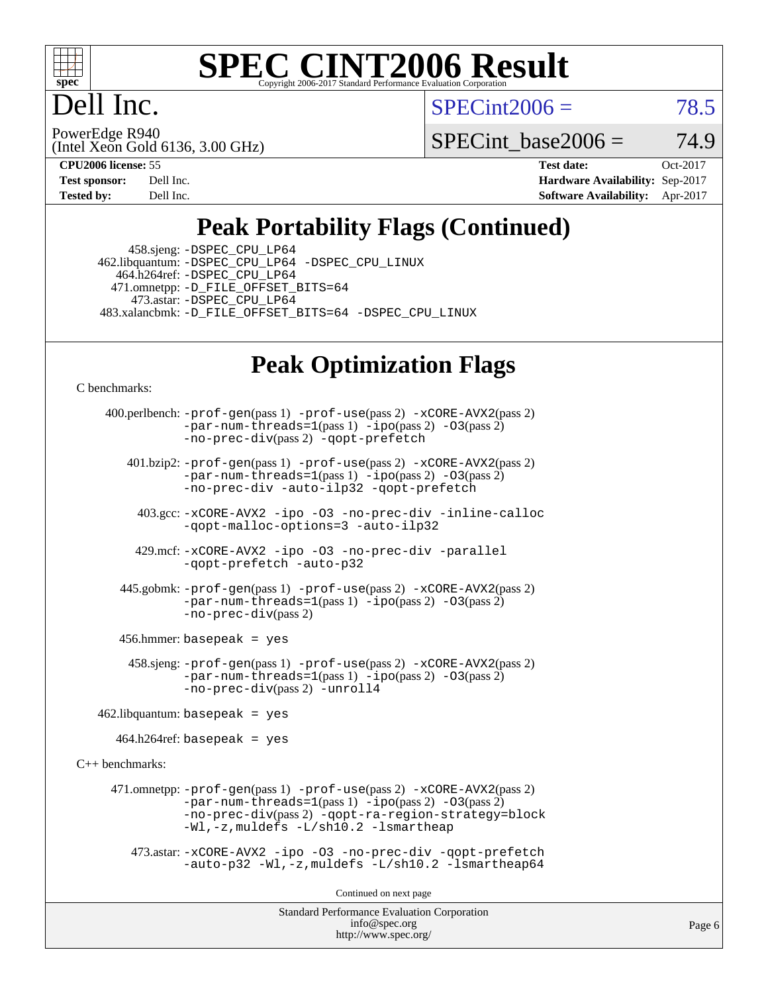

### **[SPEC CINT2006 Result](http://www.spec.org/auto/cpu2006/Docs/result-fields.html#SPECCINT2006Result)** Copyright 2006-2017 Standard Performance Evaluation O

# Dell Inc.

 $SPECint2006 = 78.5$  $SPECint2006 = 78.5$ 

(Intel Xeon Gold 6136, 3.00 GHz) PowerEdge R940

SPECint base2006 =  $74.9$ 

**[CPU2006 license:](http://www.spec.org/auto/cpu2006/Docs/result-fields.html#CPU2006license)** 55 **[Test date:](http://www.spec.org/auto/cpu2006/Docs/result-fields.html#Testdate)** Oct-2017 **[Test sponsor:](http://www.spec.org/auto/cpu2006/Docs/result-fields.html#Testsponsor)** Dell Inc. **[Hardware Availability:](http://www.spec.org/auto/cpu2006/Docs/result-fields.html#HardwareAvailability)** Sep-2017 **[Tested by:](http://www.spec.org/auto/cpu2006/Docs/result-fields.html#Testedby)** Dell Inc. **[Software Availability:](http://www.spec.org/auto/cpu2006/Docs/result-fields.html#SoftwareAvailability)** Apr-2017

# **[Peak Portability Flags \(Continued\)](http://www.spec.org/auto/cpu2006/Docs/result-fields.html#PeakPortabilityFlags)**

 458.sjeng: [-DSPEC\\_CPU\\_LP64](http://www.spec.org/cpu2006/results/res2017q4/cpu2006-20171114-50551.flags.html#suite_peakPORTABILITY458_sjeng_DSPEC_CPU_LP64) 462.libquantum: [-DSPEC\\_CPU\\_LP64](http://www.spec.org/cpu2006/results/res2017q4/cpu2006-20171114-50551.flags.html#suite_peakPORTABILITY462_libquantum_DSPEC_CPU_LP64) [-DSPEC\\_CPU\\_LINUX](http://www.spec.org/cpu2006/results/res2017q4/cpu2006-20171114-50551.flags.html#b462.libquantum_peakCPORTABILITY_DSPEC_CPU_LINUX) 464.h264ref: [-DSPEC\\_CPU\\_LP64](http://www.spec.org/cpu2006/results/res2017q4/cpu2006-20171114-50551.flags.html#suite_peakPORTABILITY464_h264ref_DSPEC_CPU_LP64) 471.omnetpp: [-D\\_FILE\\_OFFSET\\_BITS=64](http://www.spec.org/cpu2006/results/res2017q4/cpu2006-20171114-50551.flags.html#user_peakPORTABILITY471_omnetpp_file_offset_bits_64_438cf9856305ebd76870a2c6dc2689ab) 473.astar: [-DSPEC\\_CPU\\_LP64](http://www.spec.org/cpu2006/results/res2017q4/cpu2006-20171114-50551.flags.html#suite_peakPORTABILITY473_astar_DSPEC_CPU_LP64) 483.xalancbmk: [-D\\_FILE\\_OFFSET\\_BITS=64](http://www.spec.org/cpu2006/results/res2017q4/cpu2006-20171114-50551.flags.html#user_peakPORTABILITY483_xalancbmk_file_offset_bits_64_438cf9856305ebd76870a2c6dc2689ab) [-DSPEC\\_CPU\\_LINUX](http://www.spec.org/cpu2006/results/res2017q4/cpu2006-20171114-50551.flags.html#b483.xalancbmk_peakCXXPORTABILITY_DSPEC_CPU_LINUX)

# **[Peak Optimization Flags](http://www.spec.org/auto/cpu2006/Docs/result-fields.html#PeakOptimizationFlags)**

[C benchmarks](http://www.spec.org/auto/cpu2006/Docs/result-fields.html#Cbenchmarks):

```
Standard Performance Evaluation Corporation
     400.perlbench: -prof-gen(pass 1) -prof-use(pass 2) -xCORE-AVX2(pass 2)
                -par-num-threads=1-ipo-O3(pass 2)-no-prec-div(pass 2) -qopt-prefetch
        401.bzip2: -prof-gen(pass 1) -prof-use(pass 2) -xCORE-AVX2(pass 2)
                -par-num-threads=1-ipo-O3(pass 2)-no-prec-div -auto-ilp32 -qopt-prefetch
         403.gcc: -xCORE-AVX2 -ipo -O3 -no-prec-div -inline-calloc
                -qopt-malloc-options=3 -auto-ilp32
         429.mcf: -xCORE-AVX2 -ipo -O3 -no-prec-div -parallel
               -qopt-prefetch -auto-p32
       445.gobmk: -prof-gen(pass 1) -prof-use(pass 2) -xCORE-AVX2(pass 2)
                -par-num-threads=1(pass 1) -ipo(pass 2) -O3(pass 2)
                -no-prec-div(pass 2)
       456.hmmer: basepeak = yes
        458.sjeng: -prof-gen(pass 1) -prof-use(pass 2) -xCORE-AVX2(pass 2)
                -par-num-threads=1(pass 1) -ipo(pass 2) -O3(pass 2)
               -no-prec-div(pass 2) -unroll4
   462.libquantum: basepeak = yes
     464.h264ref: basepeak = yes
C++ benchmarks: 
      471.omnetpp: -prof-gen(pass 1) -prof-use(pass 2) -xCORE-AVX2(pass 2)
               -par-num-threads=1-ipo-O3(pass 2)-no-prec-div(pass 2) -qopt-ra-region-strategy=block
                -Wl,-z,muldefs -L/sh10.2 -lsmartheap
         473.astar: -xCORE-AVX2 -ipo -O3 -no-prec-div -qopt-prefetch
                -auto-p32 -Wl,-z,muldefs -L/sh10.2 -lsmartheap64
                                      Continued on next page
```